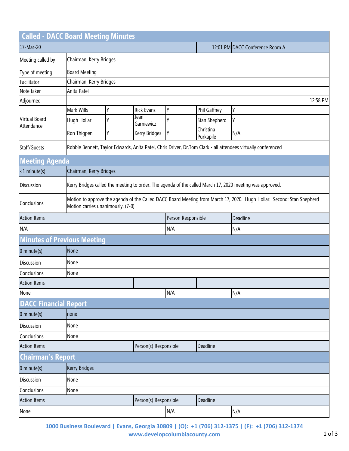|                                    | <b>Called - DACC Board Meeting Minutes</b> |                                                                                                                                                            |                       |                    |                                 |          |  |  |  |
|------------------------------------|--------------------------------------------|------------------------------------------------------------------------------------------------------------------------------------------------------------|-----------------------|--------------------|---------------------------------|----------|--|--|--|
| 17-Mar-20                          |                                            |                                                                                                                                                            |                       |                    | 12:01 PM DACC Conference Room A |          |  |  |  |
| Meeting called by                  |                                            | Chairman, Kerry Bridges                                                                                                                                    |                       |                    |                                 |          |  |  |  |
| Type of meeting                    | <b>Board Meeting</b>                       |                                                                                                                                                            |                       |                    |                                 |          |  |  |  |
| Facilitator                        |                                            | Chairman, Kerry Bridges                                                                                                                                    |                       |                    |                                 |          |  |  |  |
| Note taker                         | Anita Patel                                |                                                                                                                                                            |                       |                    |                                 |          |  |  |  |
| Adjourned                          | 12:58 PM                                   |                                                                                                                                                            |                       |                    |                                 |          |  |  |  |
| <b>Virtual Board</b><br>Attendance | Mark Wills                                 | Υ                                                                                                                                                          | <b>Rick Evans</b>     | Υ                  | Phil Gaffney                    | Υ        |  |  |  |
|                                    | Hugh Hollar                                | Υ                                                                                                                                                          | Jean<br>Garniewicz    | Y                  | Stan Shepherd                   | Υ        |  |  |  |
|                                    | Ron Thigpen                                | Y                                                                                                                                                          | Kerry Bridges         | Υ                  | Christina<br>Purkapile          | N/A      |  |  |  |
| Staff/Guests                       |                                            | Robbie Bennett, Taylor Edwards, Anita Patel, Chris Driver, Dr.Tom Clark - all attendees virtually conferenced                                              |                       |                    |                                 |          |  |  |  |
| <b>Meeting Agenda</b>              |                                            |                                                                                                                                                            |                       |                    |                                 |          |  |  |  |
| $<1$ minute(s)                     |                                            | Chairman, Kerry Bridges                                                                                                                                    |                       |                    |                                 |          |  |  |  |
| <b>Discussion</b>                  |                                            | Kerry Bridges called the meeting to order. The agenda of the called March 17, 2020 meeting was approved.                                                   |                       |                    |                                 |          |  |  |  |
| Conclusions                        |                                            | Motion to approve the agenda of the Called DACC Board Meeting from March 17, 2020. Hugh Hollar. Second: Stan Shepherd<br>Motion carries unanimously. (7-0) |                       |                    |                                 |          |  |  |  |
| <b>Action Items</b>                |                                            |                                                                                                                                                            |                       | Person Responsible |                                 | Deadline |  |  |  |
| N/A                                |                                            |                                                                                                                                                            |                       | N/A                |                                 | N/A      |  |  |  |
|                                    | <b>Minutes of Previous Meeting</b>         |                                                                                                                                                            |                       |                    |                                 |          |  |  |  |
| 0 minute(s)                        | None                                       |                                                                                                                                                            |                       |                    |                                 |          |  |  |  |
| Discussion                         | None                                       |                                                                                                                                                            |                       |                    |                                 |          |  |  |  |
| Conclusions                        | None                                       |                                                                                                                                                            |                       |                    |                                 |          |  |  |  |
| <b>Action Items</b>                |                                            |                                                                                                                                                            |                       |                    |                                 |          |  |  |  |
| None                               |                                            |                                                                                                                                                            |                       | N/A                |                                 | N/A      |  |  |  |
| <b>DACC Financial Report</b>       |                                            |                                                                                                                                                            |                       |                    |                                 |          |  |  |  |
| $0$ minute(s)                      | none                                       |                                                                                                                                                            |                       |                    |                                 |          |  |  |  |
| Discussion                         | None                                       |                                                                                                                                                            |                       |                    |                                 |          |  |  |  |
| Conclusions                        | None                                       |                                                                                                                                                            |                       |                    |                                 |          |  |  |  |
| <b>Action Items</b>                | Person(s) Responsible<br>Deadline          |                                                                                                                                                            |                       |                    |                                 |          |  |  |  |
| <b>Chairman's Report</b>           |                                            |                                                                                                                                                            |                       |                    |                                 |          |  |  |  |
| 0 minute(s)                        | <b>Kerry Bridges</b>                       |                                                                                                                                                            |                       |                    |                                 |          |  |  |  |
| Discussion                         | None                                       |                                                                                                                                                            |                       |                    |                                 |          |  |  |  |
| Conclusions                        | None                                       |                                                                                                                                                            |                       |                    |                                 |          |  |  |  |
| <b>Action Items</b>                |                                            |                                                                                                                                                            | Person(s) Responsible |                    | Deadline                        |          |  |  |  |
| None                               |                                            |                                                                                                                                                            |                       | N/A                |                                 | N/A      |  |  |  |

**1000 Business Boulevard | Evans, Georgia 30809 | (O): +1 (706) 312-1375 | (F): +1 (706) 312-1374 www.developcolumbiacounty.com** 1 of 3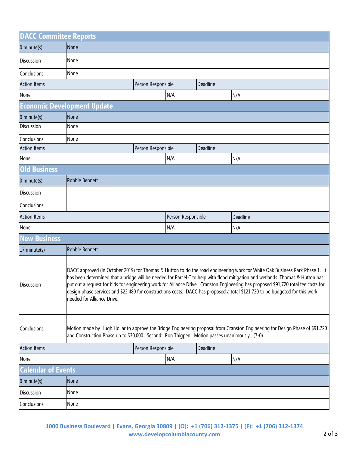| <b>DACC Committee Reports</b> |                                                                                                                                                                                                                                                                                                                                                                                                                                                                                                                                                                  |                    |                    |          |          |  |  |  |
|-------------------------------|------------------------------------------------------------------------------------------------------------------------------------------------------------------------------------------------------------------------------------------------------------------------------------------------------------------------------------------------------------------------------------------------------------------------------------------------------------------------------------------------------------------------------------------------------------------|--------------------|--------------------|----------|----------|--|--|--|
| $0$ minute(s)                 | None                                                                                                                                                                                                                                                                                                                                                                                                                                                                                                                                                             |                    |                    |          |          |  |  |  |
| Discussion                    | None                                                                                                                                                                                                                                                                                                                                                                                                                                                                                                                                                             |                    |                    |          |          |  |  |  |
| Conclusions                   | None                                                                                                                                                                                                                                                                                                                                                                                                                                                                                                                                                             |                    |                    |          |          |  |  |  |
| <b>Action Items</b>           |                                                                                                                                                                                                                                                                                                                                                                                                                                                                                                                                                                  | Person Responsible |                    | Deadline |          |  |  |  |
| None                          |                                                                                                                                                                                                                                                                                                                                                                                                                                                                                                                                                                  |                    | N/A                |          | N/A      |  |  |  |
|                               | <b>Economic Development Update</b>                                                                                                                                                                                                                                                                                                                                                                                                                                                                                                                               |                    |                    |          |          |  |  |  |
| 0 minute(s)                   | None                                                                                                                                                                                                                                                                                                                                                                                                                                                                                                                                                             |                    |                    |          |          |  |  |  |
| <b>Discussion</b>             | None                                                                                                                                                                                                                                                                                                                                                                                                                                                                                                                                                             |                    |                    |          |          |  |  |  |
| Conclusions                   | None                                                                                                                                                                                                                                                                                                                                                                                                                                                                                                                                                             |                    |                    |          |          |  |  |  |
| <b>Action Items</b>           |                                                                                                                                                                                                                                                                                                                                                                                                                                                                                                                                                                  | Person Responsible |                    | Deadline |          |  |  |  |
| None                          |                                                                                                                                                                                                                                                                                                                                                                                                                                                                                                                                                                  |                    | N/A                |          | N/A      |  |  |  |
| <b>Old Business</b>           |                                                                                                                                                                                                                                                                                                                                                                                                                                                                                                                                                                  |                    |                    |          |          |  |  |  |
| $0$ minute(s)                 | Robbie Bennett                                                                                                                                                                                                                                                                                                                                                                                                                                                                                                                                                   |                    |                    |          |          |  |  |  |
| Discussion                    |                                                                                                                                                                                                                                                                                                                                                                                                                                                                                                                                                                  |                    |                    |          |          |  |  |  |
| Conclusions                   |                                                                                                                                                                                                                                                                                                                                                                                                                                                                                                                                                                  |                    |                    |          |          |  |  |  |
| <b>Action Items</b>           |                                                                                                                                                                                                                                                                                                                                                                                                                                                                                                                                                                  |                    | Person Responsible |          | Deadline |  |  |  |
| None                          |                                                                                                                                                                                                                                                                                                                                                                                                                                                                                                                                                                  |                    | N/A                |          | N/A      |  |  |  |
| <b>New Business</b>           |                                                                                                                                                                                                                                                                                                                                                                                                                                                                                                                                                                  |                    |                    |          |          |  |  |  |
| 17 minute(s)                  | Robbie Bennett                                                                                                                                                                                                                                                                                                                                                                                                                                                                                                                                                   |                    |                    |          |          |  |  |  |
| Discussion                    | DACC approved (in October 2019) for Thomas & Hutton to do the road engineering work for White Oak Business Park Phase 1. It<br>has been determined that a bridge will be needed for Parcel C to help with flood mitigation and wetlands. Thomas & Hutton has<br>put out a request for bids for engineering work for Alliance Drive. Cranston Engineering has proposed \$91,720 total fee costs for<br>design phase services and \$22,480 for constructions costs. DACC has proposed a total \$121,720 to be budgeted for this work<br>needed for Alliance Drive. |                    |                    |          |          |  |  |  |
| Conclusions                   | Motion made by Hugh Hollar to approve the Bridge Engineering proposal from Cranston Engineering for Design Phase of \$91,720<br>and Construction Phase up to \$30,000. Second: Ron Thigpen. Motion passes unanimously. (7-0)                                                                                                                                                                                                                                                                                                                                     |                    |                    |          |          |  |  |  |
| <b>Action Items</b>           |                                                                                                                                                                                                                                                                                                                                                                                                                                                                                                                                                                  | Person Responsible |                    | Deadline |          |  |  |  |
| None                          |                                                                                                                                                                                                                                                                                                                                                                                                                                                                                                                                                                  |                    | N/A                |          | N/A      |  |  |  |
| <b>Calendar of Events</b>     |                                                                                                                                                                                                                                                                                                                                                                                                                                                                                                                                                                  |                    |                    |          |          |  |  |  |
| 0 minute(s)                   | None                                                                                                                                                                                                                                                                                                                                                                                                                                                                                                                                                             |                    |                    |          |          |  |  |  |
| Discussion                    | None                                                                                                                                                                                                                                                                                                                                                                                                                                                                                                                                                             |                    |                    |          |          |  |  |  |
| Conclusions                   | None                                                                                                                                                                                                                                                                                                                                                                                                                                                                                                                                                             |                    |                    |          |          |  |  |  |